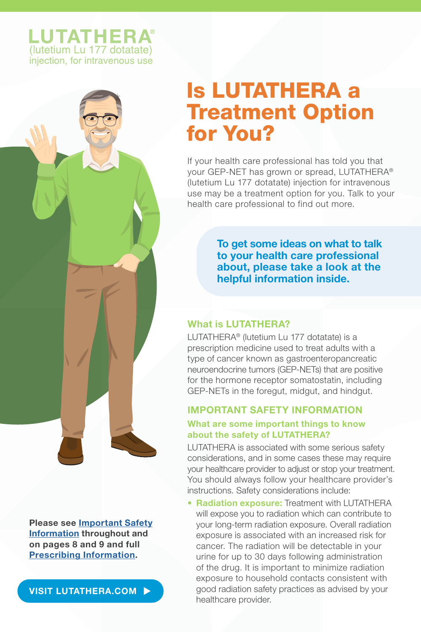## **LUTATHERA** (lutetium Lu 177 dotatate) injection, for intravenous use

# Is LUTATHERA a Treatment Option for You?

If your health care professional has told you that your GEP-NET has grown or spread, LUTATHERA® (lutetium Lu 177 dotatate) injection for intravenous use may be a treatment option for you. Talk to your health care professional to find out more.

> To get some ideas on what to talk to your health care professional about, please take a look at the helpful information inside.

## What is LUTATHERA?

LUTATHERA® (lutetium Lu 177 dotatate) is a prescription medicine used to treat adults with a type of cancer known as gastroenteropancreatic neuroendocrine tumors (GEP-NETs) that are positive for the hormone receptor somatostatin, including GEP-NETs in the foregut, midgut, and hindgut.

## IMPORTANT SAFETY INFORMATION

## What are some important things to know about the safety of LUTATHERA?

LUTATHERA is associated with some serious safety considerations, and in some cases these may require your healthcare provider to adjust or stop your treatment. You should always follow your healthcare provider's instructions. Safety considerations include:

• Radiation exposure: Treatment with LUTATHERA will expose you to radiation which can contribute to your long-term radiation exposure. Overall radiation exposure is associated with an increased risk for cancer. The radiation will be detectable in your urine for up to 30 days following administration of the drug. It is important to minimize radiation exposure to household contacts consistent with good radiation safety practices as advised by your healthcare provider.

Please se[e Important Safety](#page-7-0) [Information t](#page-7-0)hroughout and on pages 8 and 9 and full [Prescribing Information.](https://www.novartis.us/sites/www.novartis.us/files/lutathera.pdf)

[VISIT LUTATHERA.COM](https://www.lutathera.com)  $\blacktriangleright$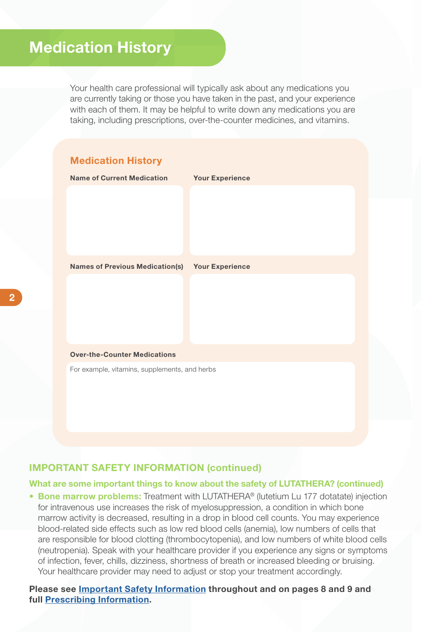## Medication History

Your health care professional will typically ask about any medications you are currently taking or those you have taken in the past, and your experience with each of them. It may be helpful to write down any medications you are taking, including prescriptions, over-the-counter medicines, and vitamins.



### IMPORTANT SAFETY INFORMATION (continued)

#### What are some important things to know about the safety of LUTATHERA? (continued)

• Bone marrow problems: Treatment with LUTATHERA® (lutetium Lu 177 dotatate) injection for intravenous use increases the risk of myelosuppression, a condition in which bone marrow activity is decreased, resulting in a drop in blood cell counts. You may experience blood-related side effects such as low red blood cells (anemia), low numbers of cells that are responsible for blood clotting (thrombocytopenia), and low numbers of white blood cells (neutropenia). Speak with your healthcare provider if you experience any signs or symptoms of infection, fever, chills, dizziness, shortness of breath or increased bleeding or bruising. Your healthcare provider may need to adjust or stop your treatment accordingly.

Please se[e Important Safety Information](#page-7-0) throughout and on pages 8 and 9 and ful[l Prescribing Information.](https://www.novartis.us/sites/www.novartis.us/files/lutathera.pdf)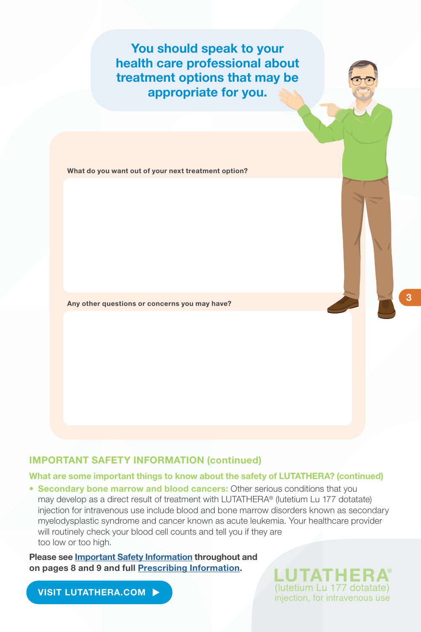You should speak to your health care professional about treatment options that may be appropriate for you.

What do you want out of your next treatment option?

Any other questions or concerns you may have?

## IMPORTANT SAFETY INFORMATION (continued)

#### What are some important things to know about the safety of LUTATHERA? (continued)

• Secondary bone marrow and blood cancers: Other serious conditions that you may develop as a direct result of treatment with LUTATHERA® (lutetium Lu 177 dotatate) injection for intravenous use include blood and bone marrow disorders known as secondary myelodysplastic syndrome and cancer known as acute leukemia. Your healthcare provider will routinely check your blood cell counts and tell you if they are too low or too high.

Please se[e Important Safety Information t](#page-7-0)hroughout and on pages 8 and 9 and ful[l Prescribing Information.](https://www.novartis.us/sites/www.novartis.us/files/lutathera.pdf)

[VISIT LUTATHERA.COM](https://www.lutathera.com)  $\blacktriangleright$ 

**UTATHE** (lutetium Lu 177 dotatate) injection, for intravenous use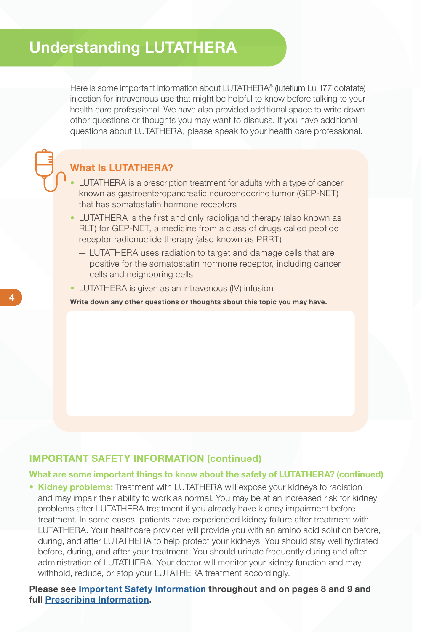## Understanding LUTATHERA

Here is some important information about LUTATHERA® (lutetium Lu 177 dotatate) injection for intravenous use that might be helpful to know before talking to your health care professional. We have also provided additional space to write down other questions or thoughts you may want to discuss. If you have additional questions about LUTATHERA, please speak to your health care professional.

## What Is LUTATHERA?

- LUTATHERA is a prescription treatment for adults with a type of cancer known as gastroenteropancreatic neuroendocrine tumor (GEP-NET) that has somatostatin hormone receptors
- LUTATHERA is the first and only radioligand therapy (also known as RLT) for GEP-NET, a medicine from a class of drugs called peptide receptor radionuclide therapy (also known as PRRT)
	- LUTATHERA uses radiation to target and damage cells that are positive for the somatostatin hormone receptor, including cancer cells and neighboring cells
- LUTATHERA is given as an intravenous (IV) infusion

Write down any other questions or thoughts about this topic you may have.

## IMPORTANT SAFETY INFORMATION (continued)

#### What are some important things to know about the safety of LUTATHERA? (continued)

• Kidney problems: Treatment with LUTATHERA will expose your kidneys to radiation and may impair their ability to work as normal. You may be at an increased risk for kidney problems after LUTATHERA treatment if you already have kidney impairment before treatment. In some cases, patients have experienced kidney failure after treatment with LUTATHERA. Your healthcare provider will provide you with an amino acid solution before, during, and after LUTATHERA to help protect your kidneys. You should stay well hydrated before, during, and after your treatment. You should urinate frequently during and after administration of LUTATHERA. Your doctor will monitor your kidney function and may withhold, reduce, or stop your LUTATHERA treatment accordingly.

Please se[e Important Safety Information t](#page-7-0)hroughout and on pages 8 and 9 and ful[l Prescribing Information.](https://www.novartis.us/sites/www.novartis.us/files/lutathera.pdf)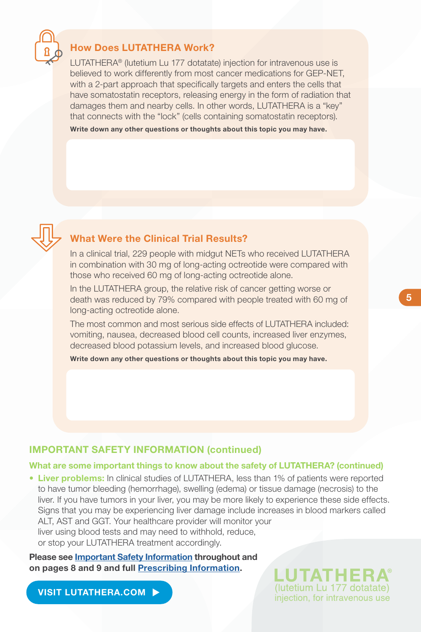

### How Does LUTATHERA Work?

LUTATHERA® (lutetium Lu 177 dotatate) injection for intravenous use is believed to work differently from most cancer medications for GEP-NET, with a 2-part approach that specifically targets and enters the cells that have somatostatin receptors, releasing energy in the form of radiation that damages them and nearby cells. In other words, LUTATHERA is a "key" that connects with the "lock" (cells containing somatostatin receptors).

Write down any other questions or thoughts about this topic you may have.



## What Were the Clinical Trial Results?

In a clinical trial, 229 people with midgut NETs who received LUTATHERA in combination with 30 mg of long-acting octreotide were compared with those who received 60 mg of long-acting octreotide alone.

In the LUTATHERA group, the relative risk of cancer getting worse or death was reduced by 79% compared with people treated with 60 mg of long-acting octreotide alone.

The most common and most serious side effects of LUTATHERA included: vomiting, nausea, decreased blood cell counts, increased liver enzymes, decreased blood potassium levels, and increased blood glucose.

Write down any other questions or thoughts about this topic you may have.

#### IMPORTANT SAFETY INFORMATION (continued)

#### What are some important things to know about the safety of LUTATHERA? (continued)

• Liver problems: In clinical studies of LUTATHERA, less than 1% of patients were reported to have tumor bleeding (hemorrhage), swelling (edema) or tissue damage (necrosis) to the liver. If you have tumors in your liver, you may be more likely to experience these side effects. Signs that you may be experiencing liver damage include increases in blood markers called ALT, AST and GGT. Your healthcare provider will monitor your liver using blood tests and may need to withhold, reduce, or stop your LUTATHERA treatment accordingly.

Please se[e Important Safety Information t](#page-7-0)hroughout and on pages 8 and 9 and ful[l Prescribing Information.](https://www.novartis.us/sites/www.novartis.us/files/lutathera.pdf)

[VISIT LUTATHERA.COM](https://www.lutathera.com)  $\blacktriangleright$ 

(lutetium Lu 177 dotatate) injection, for intravenous use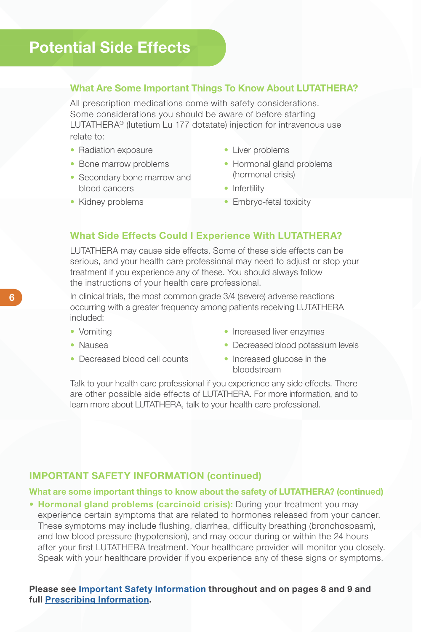## Potential Side Effects

#### What Are Some Important Things To Know About LUTATHERA?

All prescription medications come with safety considerations. Some considerations you should be aware of before starting LUTATHERA® (lutetium Lu 177 dotatate) injection for intravenous use relate to:

- Radiation exposure
- Bone marrow problems
- Secondary bone marrow and blood cancers
- Kidney problems
- Liver problems
- Hormonal gland problems (hormonal crisis)
- Infertility
- Embrvo-fetal toxicity

#### What Side Effects Could I Experience With LUTATHERA?

LUTATHERA may cause side effects. Some of these side effects can be serious, and your health care professional may need to adjust or stop your treatment if you experience any of these. You should always follow the instructions of your health care professional.

In clinical trials, the most common grade 3/4 (severe) adverse reactions occurring with a greater frequency among patients receiving LUTATHERA included:

- Vomiting
- Nausea
- Decreased blood cell counts
- Increased liver enzymes
- Decreased blood potassium levels
- Increased glucose in the bloodstream

Talk to your health care professional if you experience any side effects. There are other possible side effects of LUTATHERA. For more information, and to learn more about LUTATHERA, talk to your health care professional.

### IMPORTANT SAFETY INFORMATION (continued)

#### What are some important things to know about the safety of LUTATHERA? (continued)

• Hormonal gland problems (carcinoid crisis): During your treatment you may experience certain symptoms that are related to hormones released from your cancer. These symptoms may include flushing, diarrhea, difficulty breathing (bronchospasm), and low blood pressure (hypotension), and may occur during or within the 24 hours after your first LUTATHERA treatment. Your healthcare provider will monitor you closely. Speak with your healthcare provider if you experience any of these signs or symptoms.

Please see **Important Safety Information** throughout and on pages 8 and 9 and ful[l Prescribing Information.](https://www.novartis.us/sites/www.novartis.us/files/lutathera.pdf)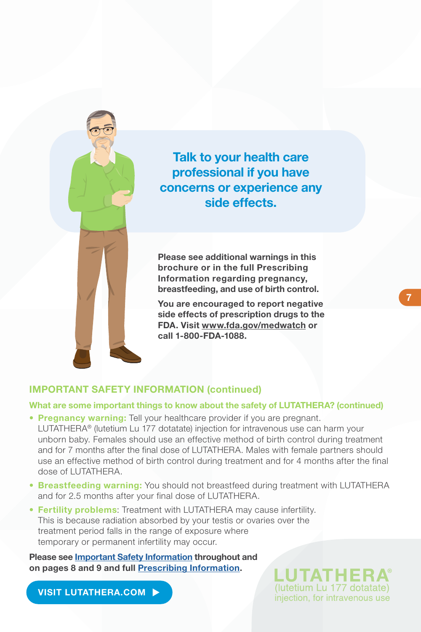

Talk to your health care professional if you have concerns or experience any side effects.

Please see additional warnings in this brochure or in the full Prescribing Information regarding pregnancy, breastfeeding, and use of birth control.

You are encouraged to report negative side effects of prescription drugs to the FDA. Visi[t www.fda.gov/medwatch o](http://www.fda.gov/medwatch)r call 1-800-FDA-1088.

#### IMPORTANT SAFETY INFORMATION (continued)

#### What are some important things to know about the safety of LUTATHERA? (continued)

- Pregnancy warning: Tell your healthcare provider if you are pregnant. LUTATHERA® (lutetium Lu 177 dotatate) injection for intravenous use can harm your unborn baby. Females should use an effective method of birth control during treatment and for 7 months after the final dose of LUTATHERA. Males with female partners should use an effective method of birth control during treatment and for 4 months after the final dose of LUTATHERA.
- Breastfeeding warning: You should not breastfeed during treatment with LUTATHERA and for 2.5 months after your final dose of LUTATHERA.
- Fertility problems: Treatment with LUTATHERA may cause infertility. This is because radiation absorbed by your testis or ovaries over the treatment period falls in the range of exposure where temporary or permanent infertility may occur.

Please se[e Important Safety Information t](#page-7-0)hroughout and on pages 8 and 9 and ful[l Prescribing Information.](https://www.novartis.us/sites/www.novartis.us/files/lutathera.pdf)

[VISIT LUTATHERA.COM](https://www.lutathera.com)

(lutetium Lu 177 dotatate) injection, for intravenous use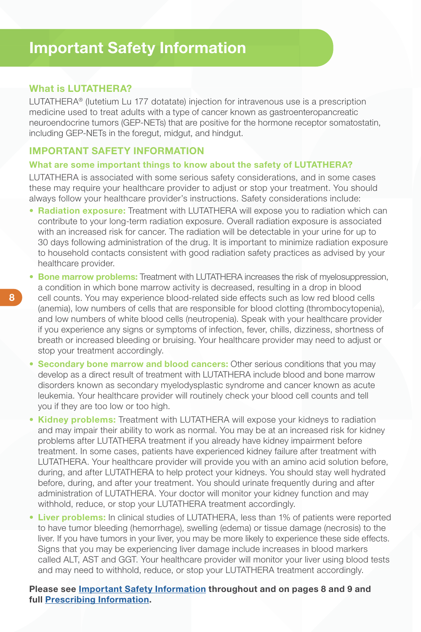### <span id="page-7-0"></span>What is LUTATHERA?

LUTATHERA® (lutetium Lu 177 dotatate) injection for intravenous use is a prescription medicine used to treat adults with a type of cancer known as gastroenteropancreatic neuroendocrine tumors (GEP-NETs) that are positive for the hormone receptor somatostatin, including GEP-NETs in the foregut, midgut, and hindgut.

### IMPORTANT SAFETY INFORMATION

#### What are some important things to know about the safety of LUTATHERA?

LUTATHERA is associated with some serious safety considerations, and in some cases these may require your healthcare provider to adjust or stop your treatment. You should always follow your healthcare provider's instructions. Safety considerations include:

- Radiation exposure: Treatment with LUTATHERA will expose you to radiation which can contribute to your long-term radiation exposure. Overall radiation exposure is associated with an increased risk for cancer. The radiation will be detectable in your urine for up to 30 days following administration of the drug. It is important to minimize radiation exposure to household contacts consistent with good radiation safety practices as advised by your healthcare provider.
- Bone marrow problems: Treatment with LUTATHERA increases the risk of myelosuppression, a condition in which bone marrow activity is decreased, resulting in a drop in blood cell counts. You may experience blood-related side effects such as low red blood cells (anemia), low numbers of cells that are responsible for blood clotting (thrombocytopenia), and low numbers of white blood cells (neutropenia). Speak with your healthcare provider if you experience any signs or symptoms of infection, fever, chills, dizziness, shortness of breath or increased bleeding or bruising. Your healthcare provider may need to adjust or stop your treatment accordingly.
- Secondary bone marrow and blood cancers: Other serious conditions that you may develop as a direct result of treatment with LUTATHERA include blood and bone marrow disorders known as secondary myelodysplastic syndrome and cancer known as acute leukemia. Your healthcare provider will routinely check your blood cell counts and tell you if they are too low or too high.
- **Kidney problems:** Treatment with LUTATHERA will expose your kidneys to radiation and may impair their ability to work as normal. You may be at an increased risk for kidney problems after LUTATHERA treatment if you already have kidney impairment before treatment. In some cases, patients have experienced kidney failure after treatment with LUTATHERA. Your healthcare provider will provide you with an amino acid solution before, during, and after LUTATHERA to help protect your kidneys. You should stay well hydrated before, during, and after your treatment. You should urinate frequently during and after administration of LUTATHERA. Your doctor will monitor your kidney function and may withhold, reduce, or stop your LUTATHERA treatment accordingly.
- Liver problems: In clinical studies of LUTATHERA, less than 1% of patients were reported to have tumor bleeding (hemorrhage), swelling (edema) or tissue damage (necrosis) to the liver. If you have tumors in your liver, you may be more likely to experience these side effects. Signs that you may be experiencing liver damage include increases in blood markers called ALT, AST and GGT. Your healthcare provider will monitor your liver using blood tests and may need to withhold, reduce, or stop your LUTATHERA treatment accordingly.

Please see Important Safety Information throughout and on pages 8 and 9 and ful[l Prescribing Information.](https://www.novartis.us/sites/www.novartis.us/files/lutathera.pdf)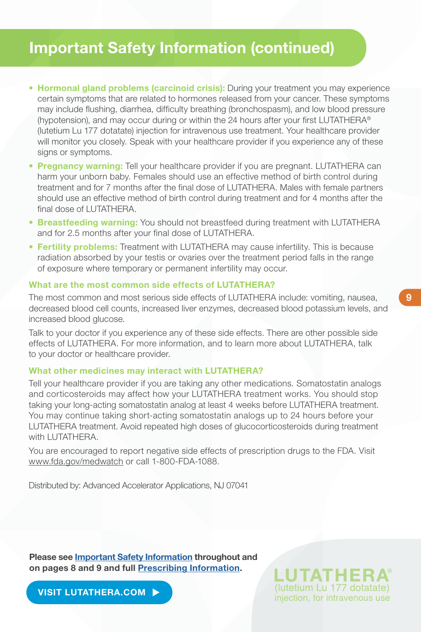## Important Safety Information (continued)

- Hormonal gland problems (carcinoid crisis): During your treatment you may experience certain symptoms that are related to hormones released from your cancer. These symptoms may include flushing, diarrhea, difficulty breathing (bronchospasm), and low blood pressure (hypotension), and may occur during or within the 24 hours after your first LUTATHERA® (lutetium Lu 177 dotatate) injection for intravenous use treatment. Your healthcare provider will monitor you closely. Speak with your healthcare provider if you experience any of these signs or symptoms.
- Pregnancy warning: Tell your healthcare provider if you are pregnant. LUTATHERA can harm your unborn baby. Females should use an effective method of birth control during treatment and for 7 months after the final dose of LUTATHERA. Males with female partners should use an effective method of birth control during treatment and for 4 months after the final dose of LUTATHERA.
- Breastfeeding warning: You should not breastfeed during treatment with LUTATHERA and for 2.5 months after your final dose of LUTATHERA.
- Fertility problems: Treatment with LUTATHERA may cause infertility. This is because radiation absorbed by your testis or ovaries over the treatment period falls in the range of exposure where temporary or permanent infertility may occur.

#### What are the most common side effects of LUTATHERA?

The most common and most serious side effects of LUTATHERA include: vomiting, nausea, decreased blood cell counts, increased liver enzymes, decreased blood potassium levels, and increased blood glucose.

Talk to your doctor if you experience any of these side effects. There are other possible side effects of LUTATHERA. For more information, and to learn more about LUTATHERA, talk to your doctor or healthcare provider.

#### What other medicines may interact with LUTATHERA?

Tell your healthcare provider if you are taking any other medications. Somatostatin analogs and corticosteroids may affect how your LUTATHERA treatment works. You should stop taking your long-acting somatostatin analog at least 4 weeks before LUTATHERA treatment. You may continue taking short-acting somatostatin analogs up to 24 hours before your LUTATHERA treatment. Avoid repeated high doses of glucocorticosteroids during treatment with LUTATHERA.

You are encouraged to report negative side effects of prescription drugs to the FDA. Visit [www.fda.gov/medwatch o](http://www.fda.gov/medwatch)r call 1-800-FDA-1088.

Distributed by: Advanced Accelerator Applications, NJ 07041

Please se[e Important Safety Information t](#page-7-0)hroughout and on pages 8 and 9 and ful[l Prescribing Information.](https://www.novartis.us/sites/www.novartis.us/files/lutathera.pdf)

[VISIT LUTATHERA.COM](https://www.lutathera.com)  $\blacktriangleright$ 

(lutetium Lu 177 dotatate) injection, for intravenous use